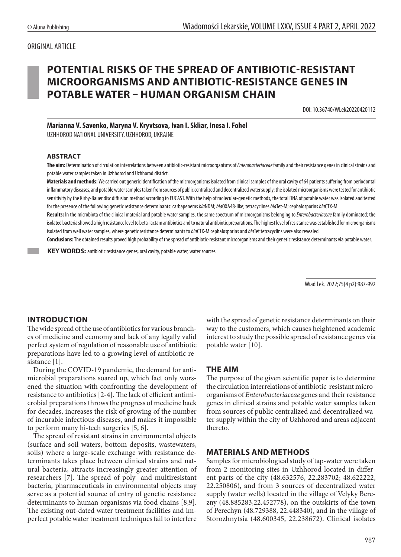## ORIGINAL ARTICLE

# **POTENTIAL RISKS OF THE SPREAD OF ANTIBIOTIC-RESISTANT MICROORGANISMS AND ANTIBIOTIC-RESISTANCE GENES IN POTABLE WATER – HUMAN ORGANISM CHAIN**

DOI: 10.36740/WLek20220420112

**Marianna V. Savenko, Maryna V. Kryvtsova, Ivan I. Skliar, Inesa I. Fohel**

UZHHOROD NATIONAL UNIVERSITY, UZHHOROD, UKRAINE

#### **ABSTRACT**

The aim: Determination of circulation interrelations between antibiotic-resistant microorganisms of *Enterobacteriaceae* family and their resistance genes in clinical strains and potable water samples taken in Uzhhorod and Uzhhorod district.

**Materials andmethods:** We carried out generic identification of the microorganisms isolated from clinical samples of the oral cavity of 64 patients suffering from periodontal inflammatory diseases, and potable water samples taken from sources of public centralized and decentralized water supply; the isolated microorganisms were tested for antibiotic sensitivity by the Kirby-Bauer disc diffusion method according to EUCAST. With the help of molecular-genetic methods, the total DNA of potable water was isolated and tested for the presence of the following genetic resistance determinants: carbapenems *bla*NDM; *bla*OXA48-like; tetracyclines *bla*Tet-M; cephalosporins *bla*CTX-M.

**Results:** In the microbiota of the clinical material and potable water samples, the same spectrum of microorganisms belonging to *Enterobacteriaceae* family dominated; the isolated bacteria showed a high resistance level to beta-lactam antibiotics and to natural antibiotic preparations. The highest level of resistance was established for microorganisms isolated from well water samples, where genetic resistance determinants to *bla*CTX-M cephalosporins and *bla*Tet tetracyclins were also revealed.

**Conclusions:**The obtained results proved high probability of the spread of antibiotic-resistant microorganisms and their genetic resistance determinants via potable water.

**KEY WORDS:** antibiotic resistance genes, oral cavity, potable water, water sources

Wiad Lek. 2022;75(4 p2):987-992

## **INTRODUCTION**

The wide spread of the use of antibiotics for various branches of medicine and economy and lack of any legally valid perfect system of regulation of reasonable use of antibiotic preparations have led to a growing level of antibiotic resistance [1].

During the COVID-19 pandemic, the demand for antimicrobial preparations soared up, which fact only worsened the situation with confronting the development of resistance to antibiotics [2-4]. The lack of efficient antimicrobial preparations throws the progress of medicine back for decades, increases the risk of growing of the number of incurable infectious diseases, and makes it impossible to perform many hi-tech surgeries [5, 6].

The spread of resistant strains in environmental objects (surface and soil waters, bottom deposits, wastewaters, soils) where a large-scale exchange with resistance determinants takes place between clinical strains and natural bacteria, attracts increasingly greater attention of researchers [7]. The spread of poly- and multiresistant bacteria, pharmaceuticals in environmental objects may serve as a potential source of entry of genetic resistance determinants to human organisms via food chains [8,9]. The existing out-dated water treatment facilities and imperfect potable water treatment techniques fail to interfere with the spread of genetic resistance determinants on their way to the customers, which causes heightened academic interest to study the possible spread of resistance genes via potable water [10].

#### **THE AIM**

The purpose of the given scientific paper is to determine the circulation interrelations of antibiotic-resistant microorganisms of *Enterobacteriaceae* genes and their resistance genes in clinical strains and potable water samples taken from sources of public centralized and decentralized water supply within the city of Uzhhorod and areas adjacent thereto.

## **MATERIALS AND METHODS**

Samples for microbiological study of tap-water were taken from 2 monitoring sites in Uzhhorod located in different parts of the city (48.632576, 22.283702; 48.622222, 22.250806), and from 3 sources of decentralized water supply (water wells) located in the village of Velyky Berezny (48.885283,22.452778), on the outskirts of the town of Perechyn (48.729388, 22.448340), and in the village of Storozhnytsia (48.600345, 22.238672). Clinical isolates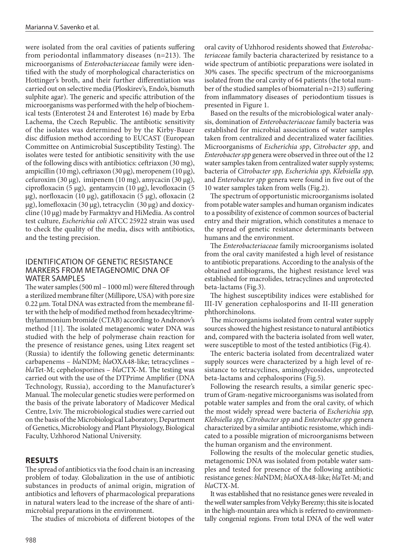were isolated from the oral cavities of patients suffering from periodontal inflammatory diseases (n=213). The microorganisms of *Enterobacteriaceae* family were identified with the study of morphological characteristics on Hottinger's broth, and their further differentiation was carried out on selective media (Ploskirev's, Endo's, bismuth sulphite agar). The generic and specific attribution of the microorganisms was performed with the help of biochemical tests (Enterotest 24 and Enterotest 16) made by Erba Lachema, the Czech Republic. The antibiotic sensitivity of the isolates was determined by by the Kirby-Bauer disc diffusion method according to EUCAST (European Committee on Antimicrobial Susceptibility Testing). The isolates were tested for antibiotic sensitivity with the use of the following discs with antibiotics: ceftriaxon (30 mg), ampicillin (10 mg), ceftriaxon (30 µg), meropenem (10 µg), cefuroxim (30 µg), imipenem (10 mg), amycacin (30 µg), ciprofloxacin (5 µg), gentamycin (10 µg), levofloxacin (5 µg), norfloxacin (10 µg), gatifloxacin (5 µg), ofloxacin (2 µg), lomefloxacin (30 µg), tetracyclin (30 µg) and doxicycline (10 µg) made by Farmaktyv and HiMedia. As control test culture, *Escherichia coli* ATCC 25922 strain was used to check the quality of the media, discs with antibiotics, and the testing precision.

## IDENTIFICATION OF GENETIC RESISTANCE MARKERS FROM METAGENOMIC DNA OF WATER SAMPLES

The water samples (500 ml – 1000 ml) were filtered through a sterilized membrane filter (Millipore, USA) with pore size 0.22 µm. Total DNA was extracted from the membrane filter with the help of modified method from hexadecyltrimethylammonium bromide (CTAB) according to Andronov's method [11]. The isolated metagenomic water DNA was studied with the help of polymerase chain reaction for the presence of resistance genes, using Litex reagent set (Russia) to identify the following genetic determinants: carbapenems – *bla*NDM; *bla*OXA48-like; tetracyclines – *bla*Tet-M; cephelosporines – *bla*CTX-M. The testing was carried out with the use of the DTPrime Amplifier (DNA Technology, Russia), according to the Manufacturer's Manual. The molecular genetic studies were performed on the basis of the private laboratory of Madicover Medical Centre, Lviv. The microbiological studies were carried out on the basis of the Microbiological Laboratory, Department of Genetics, Microbiology and Plant Physiology, Biological Faculty, Uzhhorod National University.

## **RESULTS**

The spread of antibiotics via the food chain is an increasing problem of today. Globalization in the use of antibiotic substances in products of animal origin, migration of antibiotics and leftovers of pharmacological preparations in natural waters lead to the increase of the share of antimicrobial preparations in the environment.

The studies of microbiota of different biotopes of the

oral cavity of Uzhhorod residents showed that *Enterobacteriaceae* family bacteria characterized by resistance to a wide spectrum of antibiotic preparations were isolated in 30% cases. The specific spectrum of the microorganisms isolated from the oral cavity of 64 patients (the total number of the studied samples of biomaterial n=213) suffering from inflammatory diseases of periodontium tissues is presented in Figure 1.

Based on the results of the microbiological water analysis, domination of *Enterobacteriaceae* family bacteria was established for microbial associations of water samples taken from centralized and decentralized water facilities. Microorganisms of *Escherichia spp*, *Citrobacter spp*, and *Enterobacter spp* genera were observed in three out of the 12 water samples taken from centralized water supply systems; bacteria of *Citrobacter spp, Escherichia spp, Klebsiella spp,* and *Enterobacter spp* genera were found in five out of the 10 water samples taken from wells (Fig.2).

The spectrum of opportunistic microorganisms isolated from potable water samples and human organism indicates to a possibility of existence of common sources of bacterial entry and their migration, which constitutes a menace to the spread of genetic resistance determinants between humans and the environment.

The *Enterobacteriaceae* family microorganisms isolated from the oral cavity manifested a high level of resistance to antibiotic preparations. According to the analysis of the obtained antibiograms, the highest resistance level was established for macrolides, tetracyclines and unprotected beta-lactams (Fig.3).

The highest susceptibility indices were established for III-IV generation cephalosporins and II-III generation phthorchinolons.

The microorganisms isolated from central water supply sources showed the highest resistance to natural antibiotics and, compared with the bacteria isolated from well water, were susceptible to most of the tested antibiotics (Fig.4).

The enteric bacteria isolated from decentralized water supply sources were characterized by a high level of resistance to tetracyclines, aminoglycosides, unprotected beta-lactams and cephalosporins (Fig.5).

Following the research results, a similar generic spectrum of Gram-negative microorganisms was isolated from potable water samples and from the oral cavity, of which the most widely spread were bacteria of *Escherichia spp, Klebsiella spp, Citrobacter spp* and *Enterobacter spp* genera characterized by a similar antibiotic resistome, which indicated to a possible migration of microorganisms between the human organism and the environment.

Following the results of the molecular genetic studies, metagenomic DNA was isolated from potable water samples and tested for presence of the following antibiotic resistance genes: *bla*NDM; *bla*OXA48-like; *bla*Tet-M; and *bla*CTX-M.

It was established that no resistance genes were revealed in the well water samples from Velyky Berezny; this site is located in the high-mountain area which is referred to environmentally congenial regions. From total DNA of the well water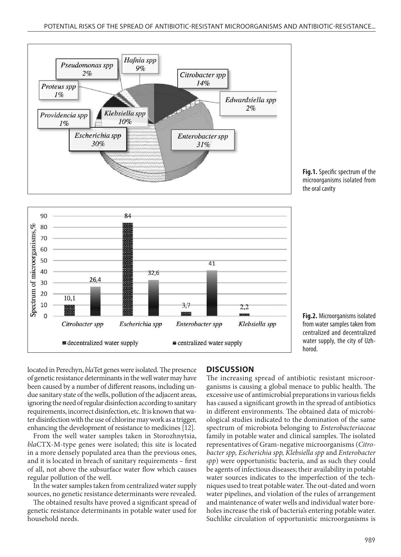





**Fig.2.** Microorganisms isolated from water samples taken from centralized and decentralized water supply, the city of Uzhhorod.

located in Perechyn, *bla*Tet genes were isolated. The presence of genetic resistance determinants in the well water may have been caused by a number of different reasons, including undue sanitary state of the wells, pollution of the adjacent areas, ignoring the need of regular disinfection according to sanitary requirements, incorrect disinfection, etc. It is known that water disinfection with the use of chlorine may work as a trigger, enhancing the development of resistance to medicines [12].

From the well water samples taken in Storozhnytsia, *bla*CTX-M-type genes were isolated; this site is located in a more densely populated area than the previous ones, and it is located in breach of sanitary requirements – first of all, not above the subsurface water flow which causes regular pollution of the well.

In the water samples taken from centralized water supply sources, no genetic resistance determinants were revealed.

The obtained results have proved a significant spread of genetic resistance determinants in potable water used for household needs.

#### **DISCUSSION**

The increasing spread of antibiotic resistant microorganisms is causing a global menace to public health. The excessive use of antimicrobial preparations in various fields has caused a significant growth in the spread of antibiotics in different environments. The obtained data of microbiological studies indicated to the domination of the same spectrum of microbiota belonging to *Enterobacteriaceae*  family in potable water and clinical samples. The isolated representatives of Gram-negative microorganisms (*Citrobacter spp, Escherichia spp, Klebsiella spp* and *Enterobacter spp*) were opportunistic bacteria, and as such they could be agents of infectious diseases; their availability in potable water sources indicates to the imperfection of the techniques used to treat potable water. The out-dated and worn water pipelines, and violation of the rules of arrangement and maintenance of water wells and individual water boreholes increase the risk of bacteria's entering potable water. Suchlike circulation of opportunistic microorganisms is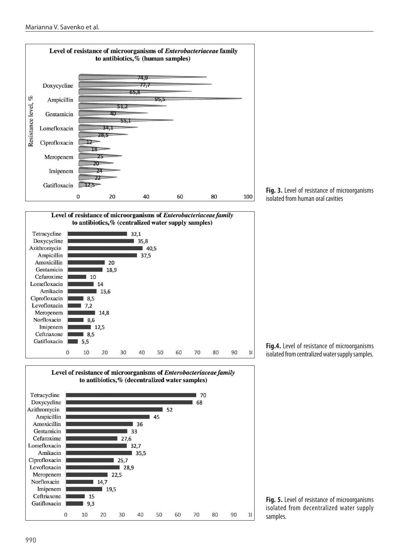





**Fig. 3.** Level of resistance of microorganisms isolated from human oral cavities

**Fig.4.** Level of resistance of microorganisms isolated from centralized water supply samples.

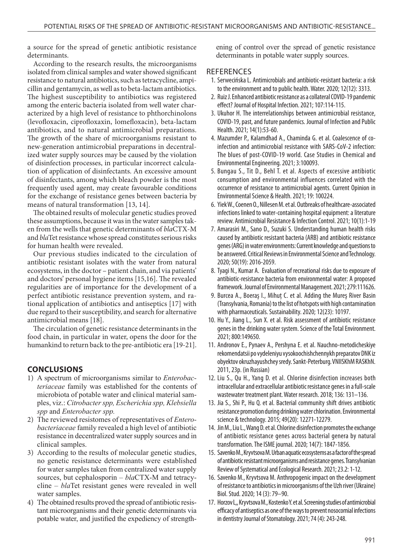a source for the spread of genetic antibiotic resistance determinants.

According to the research results, the microorganisms isolated from clinical samples and water showed significant resistance to natural antibiotics, such as tetracycline, ampicillin and gentamycin, as well as to beta-lactam antibiotics. The highest susceptibility to antibiotics was registered among the enteric bacteria isolated from well water characterized by a high level of resistance to phthorchinolons (levofloxacin, ciprofloxaxin, lomefloxacin), beta-lactam antibiotics, and to natural antimicrobial preparations. The growth of the share of microorganisms resistant to new-generation antimicrobial preparations in decentralized water supply sources may be caused by the violation of disinfection processes, in particular incorrect calculation of application of disinfectants. An excessive amount of disinfectants, among which bleach powder is the most frequently used agent, may create favourable conditions for the exchange of resistance genes between bacteria by means of natural transformation [13, 14].

The obtained results of molecular genetic studies proved these assumptions, because it was in the water samples taken from the wells that genetic determinants of *bla*CTX-M and *bla*Tet resistance whose spread constitutes serious risks for human health were revealed.

Our previous studies indicated to the circulation of antibiotic resistant isolates with the water from natural ecosystems, in the doctor – patient chain, and via patients' and doctors' personal hygiene items [15,16]. The revealed regularities are of importance for the development of a perfect antibiotic resistance prevention system, and rational application of antibiotics and antiseptics [17] with due regard to their susceptibility, and search for alternative antimicrobial means [18].

The circulation of genetic resistance determinants in the food chain, in particular in water, opens the door for the humankind to return back to the pre-antibiotic era [19-21].

# **CONCLUSIONS**

- 1) A spectrum of microorganisms similar to *Enterobacteriaceae* family was established for the contents of microbiota of potable water and clinical material samples, viz.: *Citrobacter spp, Escherichia spp, Klebsiella spp* and *Enterobacter spp.*
- 2) The reviewed resistomes of representatives of *Enterobacteriaceae* family revealed a high level of antibiotic resistance in decentralized water supply sources and in clinical samples.
- 3) According to the results of molecular genetic studies, no genetic resistance determinants were established for water samples taken from centralized water supply sources, but cephalosporin – *bla*CTX-M and tetracycline – *bla*Tet resistant genes were revealed in well water samples.
- 4) The obtained results proved the spread of antibiotic resistant microorganisms and their genetic determinants via potable water, and justified the expediency of strength-

ening of control over the spread of genetic resistance determinants in potable water supply sources.

## **REFERENCES**

- 1. Serwecińska L. Antimicrobials and antibiotic-resistant bacteria: a risk to the environment and to public health. Water. 2020; 12(12): 3313.
- 2. Ruiz J. Enhanced antibiotic resistance as a collateral COVID-19 pandemic effect? Journal of Hospital Infection. 2021; 107:114-115.
- 3. Ukuhor H. The interrelationships between antimicrobial resistance, COVID-19, past, and future pandemics. Journal of Infection and Public Health. 2021; 14(1):53-60.
- 4. Mazumder P., Kalamdhad A., Chaminda G. et al. Coalescence of coinfection and antimicrobial resistance with SARS-CoV-2 infection: The blues of post-COVID-19 world. Case Studies in Chemical and Environmental Engineering. 2021; 3:100093.
- 5. Bungau S., Tit D., Behl T. et al. Aspects of excessive antibiotic consumption and environmental influences correlated with the occurrence of resistance to antimicrobial agents. Current Opinion in Environmental Science & Health. 2021; 19: 100224.
- 6. Yiek W., Coenen O., Nillesen M. et al. Outbreaks of healthcare-associated infections linked to water-containing hospital equipment: a literature review. Antimicrobial Resistance & Infection Control. 2021; 10(1):1-19
- 7. Amarasiri M., Sano D., Suzuki S. Understanding human health risks caused by antibiotic resistant bacteria (ARB) and antibiotic resistance genes (ARG) in water environments: Current knowledge and questions to be answered. Critical Reviews in Environmental Science and Technology. 2020; 50(19): 2016-2059.
- 8. Tyagi N., Kumar A. Evaluation of recreational risks due to exposure of antibiotic-resistance bacteria from environmental water: A proposed framework. Journal of Environmental Management. 2021; 279:111626.
- 9. Burcea A., Boeraş I., Mihuț C. et al. Adding the Mureş River Basin (Transylvania, Romania) to the list of hotspots with high contamination with pharmaceuticals. Sustainability. 2020; 12(23): 10197.
- 10. Hu Y., Jiang L., Sun X. et al. Risk assessment of antibiotic resistance genes in the drinking water system. Science of the Total Environment. 2021; 800:149650.
- 11. Andronov E., Pynaev A., Pershyna E. et al. Nauchno-metodicheskiye rekomendatsii po vydeleniyu vysokoochishchennykh preparatov DNK iz obyektov okruzhayushchey sredy. Sankt-Peterburg. VNIISKhM RASKhN. 2011, 23р. (in Russian)
- 12. Liu S., Qu H., Yang D. et al. Chlorine disinfection increases both intracellular and extracellular antibiotic resistance genes in a full-scale wastewater treatment plant. Water research. 2018; 136: 131–136.
- 13. Jia S., Shi P., Hu Q. et al. Bacterial community shift drives antibiotic resistance promotion during drinking water chlorination. Environmental science & technology. 2015; 49(20): 12271-12279.
- 14. Jin M., Liu L., Wang D. et al. Chlorine disinfection promotes the exchange of antibiotic resistance genes across bacterial genera by natural transformation. The ISME journal. 2020; 14(7): 1847-1856.
- 15. Savenko M., Kryvtsova M. Urban aquatic ecosystems as a factor of the spread of antibiotic resistant microorganisms and resistance genes. Transylvanian Review of Systematical and Ecological Research. 2021; 23.2: 1-12.
- 16. Savenko M., Kryvtsova M. Anthropogenic impact on the development of resistance to antibiotics in microorganisms of the Uzh river (Ukraine) Biol. Stud. 2020; 14 (3): 79–90.
- 17. Horzov L,, Kryvtsova M., Kostenko Y. et al. Screening studies of antimicrobial efficacy of antiseptics as one of the ways to prevent nosocomial infections in dentistry Journal of Stomatology. 2021; 74 (4): 243-248.